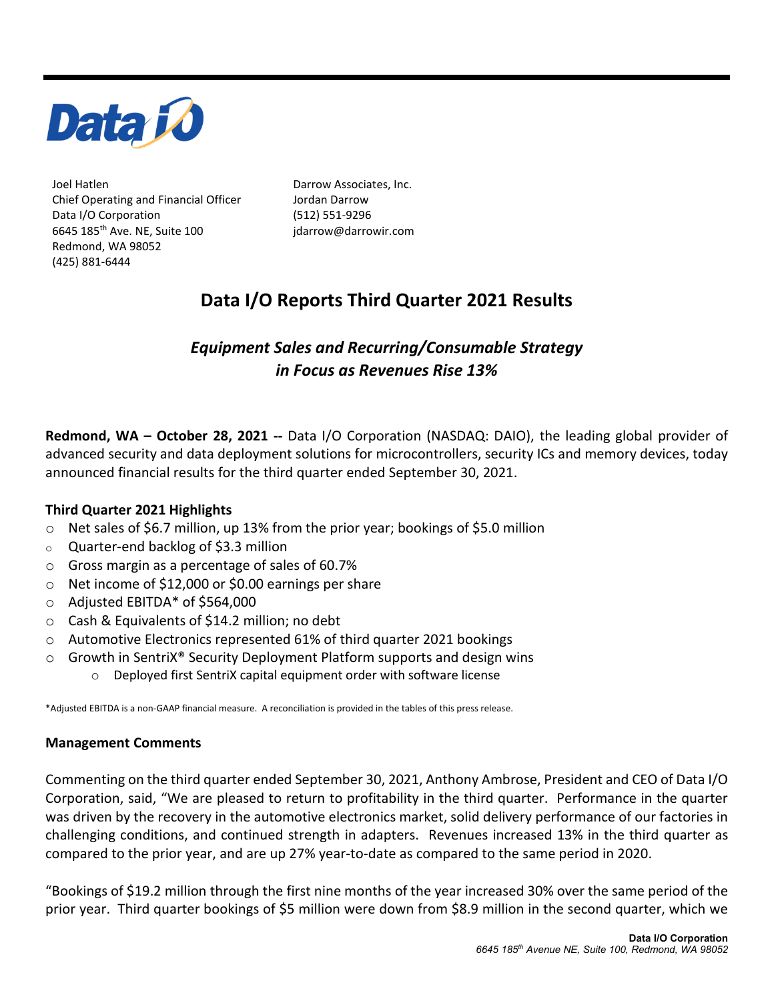

Joel Hatlen **Darrow Associates**, Inc. Chief Operating and Financial Officer Jordan Darrow Data I/O Corporation 6645 185th Ave. NE, Suite 100 Redmond, WA 98052 (425) 881-6444

(512) 551-9296 jdarrow@darrowir.com

# **Data I/O Reports Third Quarter 2021 Results**

## *Equipment Sales and Recurring/Consumable Strategy in Focus as Revenues Rise 13%*

**Redmond, WA – October 28, 2021 --** Data I/O Corporation (NASDAQ: DAIO), the leading global provider of advanced security and data deployment solutions for microcontrollers, security ICs and memory devices, today announced financial results for the third quarter ended September 30, 2021.

## **Third Quarter 2021 Highlights**

- o Net sales of \$6.7 million, up 13% from the prior year; bookings of \$5.0 million
- o Quarter-end backlog of \$3.3 million
- o Gross margin as a percentage of sales of 60.7%
- o Net income of \$12,000 or \$0.00 earnings per share
- o Adjusted EBITDA\* of \$564,000
- o Cash & Equivalents of \$14.2 million; no debt
- o Automotive Electronics represented 61% of third quarter 2021 bookings
- $\circ$  Growth in SentriX® Security Deployment Platform supports and design wins
	- o Deployed first SentriX capital equipment order with software license

\*Adjusted EBITDA is a non-GAAP financial measure. A reconciliation is provided in the tables of this press release.

#### **Management Comments**

Commenting on the third quarter ended September 30, 2021, Anthony Ambrose, President and CEO of Data I/O Corporation, said, "We are pleased to return to profitability in the third quarter. Performance in the quarter was driven by the recovery in the automotive electronics market, solid delivery performance of our factories in challenging conditions, and continued strength in adapters. Revenues increased 13% in the third quarter as compared to the prior year, and are up 27% year-to-date as compared to the same period in 2020.

"Bookings of \$19.2 million through the first nine months of the year increased 30% over the same period of the prior year. Third quarter bookings of \$5 million were down from \$8.9 million in the second quarter, which we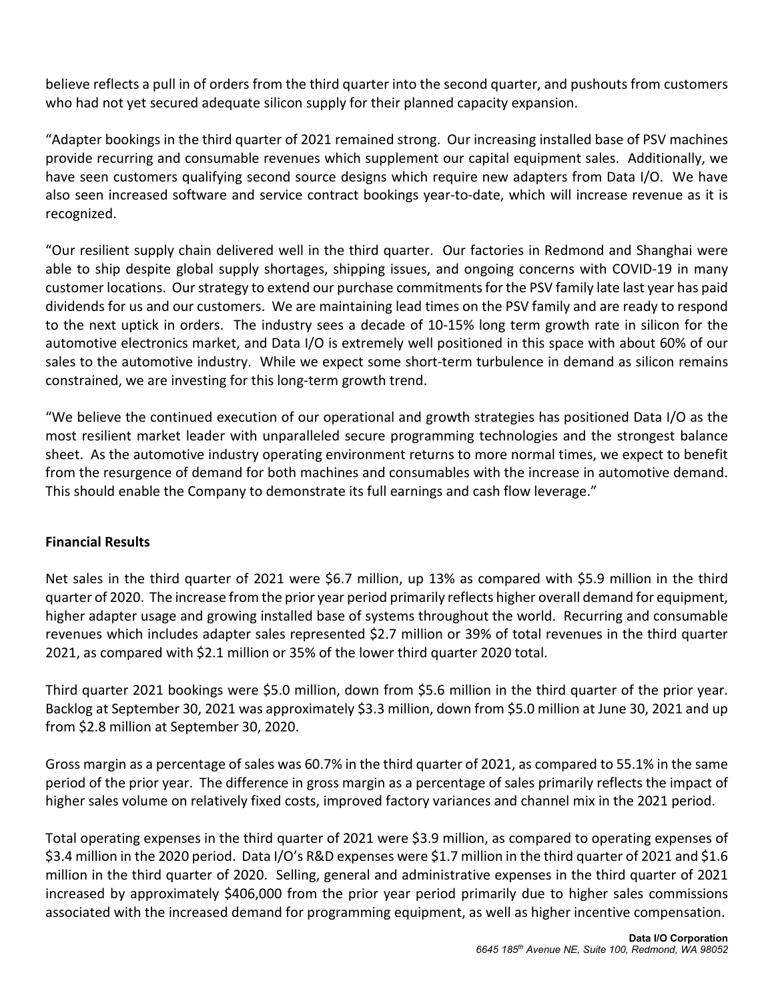believe reflects a pull in of orders from the third quarter into the second quarter, and pushouts from customers who had not yet secured adequate silicon supply for their planned capacity expansion.

"Adapter bookings in the third quarter of 2021 remained strong. Our increasing installed base of PSV machines provide recurring and consumable revenues which supplement our capital equipment sales. Additionally, we have seen customers qualifying second source designs which require new adapters from Data I/O. We have also seen increased software and service contract bookings year-to-date, which will increase revenue as it is recognized.

"Our resilient supply chain delivered well in the third quarter. Our factories in Redmond and Shanghai were able to ship despite global supply shortages, shipping issues, and ongoing concerns with COVID-19 in many customer locations. Our strategy to extend our purchase commitments for the PSV family late last year has paid dividends for us and our customers. We are maintaining lead times on the PSV family and are ready to respond to the next uptick in orders. The industry sees a decade of 10-15% long term growth rate in silicon for the automotive electronics market, and Data I/O is extremely well positioned in this space with about 60% of our sales to the automotive industry. While we expect some short-term turbulence in demand as silicon remains constrained, we are investing for this long-term growth trend.

"We believe the continued execution of our operational and growth strategies has positioned Data I/O as the most resilient market leader with unparalleled secure programming technologies and the strongest balance sheet. As the automotive industry operating environment returns to more normal times, we expect to benefit from the resurgence of demand for both machines and consumables with the increase in automotive demand. This should enable the Company to demonstrate its full earnings and cash flow leverage."

## **Financial Results**

Net sales in the third quarter of 2021 were \$6.7 million, up 13% as compared with \$5.9 million in the third quarter of 2020. The increase from the prior year period primarily reflects higher overall demand for equipment, higher adapter usage and growing installed base of systems throughout the world. Recurring and consumable revenues which includes adapter sales represented \$2.7 million or 39% of total revenues in the third quarter 2021, as compared with \$2.1 million or 35% of the lower third quarter 2020 total.

Third quarter 2021 bookings were \$5.0 million, down from \$5.6 million in the third quarter of the prior year. Backlog at September 30, 2021 was approximately \$3.3 million, down from \$5.0 million at June 30, 2021 and up from \$2.8 million at September 30, 2020.

Gross margin as a percentage of sales was 60.7% in the third quarter of 2021, as compared to 55.1% in the same period of the prior year. The difference in gross margin as a percentage of sales primarily reflects the impact of higher sales volume on relatively fixed costs, improved factory variances and channel mix in the 2021 period.

Total operating expenses in the third quarter of 2021 were \$3.9 million, as compared to operating expenses of \$3.4 million in the 2020 period. Data I/O's R&D expenses were \$1.7 million in the third quarter of 2021 and \$1.6 million in the third quarter of 2020. Selling, general and administrative expenses in the third quarter of 2021 increased by approximately \$406,000 from the prior year period primarily due to higher sales commissions associated with the increased demand for programming equipment, as well as higher incentive compensation.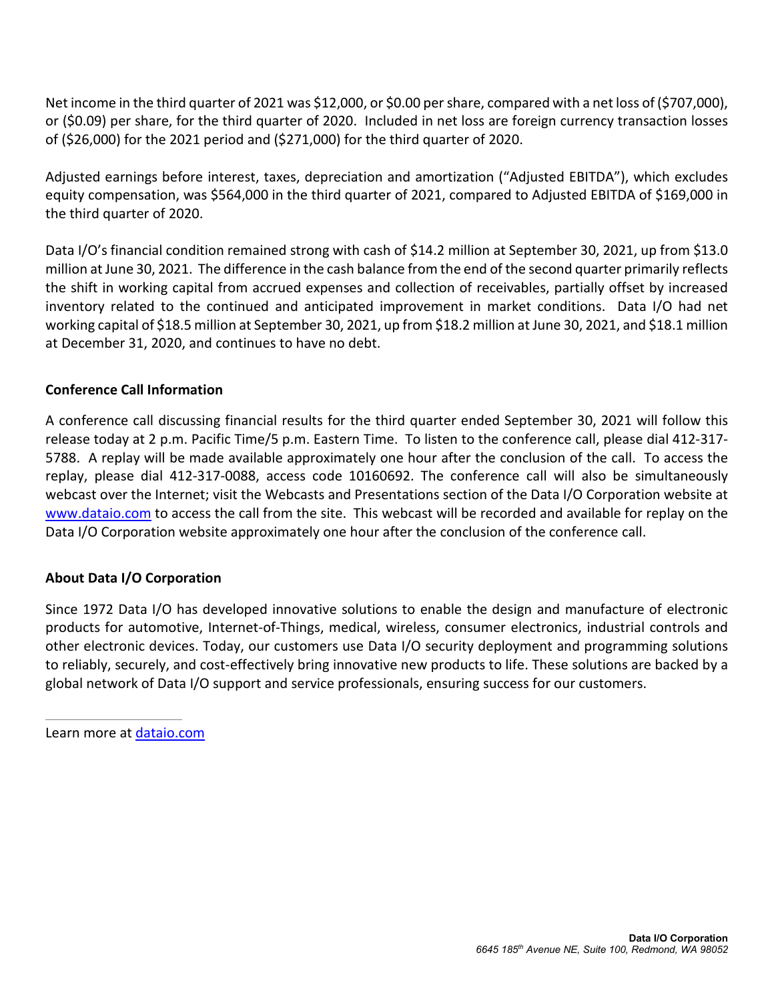Net income in the third quarter of 2021 was \$12,000, or \$0.00 per share, compared with a net loss of (\$707,000), or (\$0.09) per share, for the third quarter of 2020. Included in net loss are foreign currency transaction losses of (\$26,000) for the 2021 period and (\$271,000) for the third quarter of 2020.

Adjusted earnings before interest, taxes, depreciation and amortization ("Adjusted EBITDA"), which excludes equity compensation, was \$564,000 in the third quarter of 2021, compared to Adjusted EBITDA of \$169,000 in the third quarter of 2020.

Data I/O's financial condition remained strong with cash of \$14.2 million at September 30, 2021, up from \$13.0 million at June 30, 2021. The difference in the cash balance from the end of the second quarter primarily reflects the shift in working capital from accrued expenses and collection of receivables, partially offset by increased inventory related to the continued and anticipated improvement in market conditions. Data I/O had net working capital of \$18.5 million at September 30, 2021, up from \$18.2 million at June 30, 2021, and \$18.1 million at December 31, 2020, and continues to have no debt.

## **Conference Call Information**

A conference call discussing financial results for the third quarter ended September 30, 2021 will follow this release today at 2 p.m. Pacific Time/5 p.m. Eastern Time. To listen to the conference call, please dial 412-317- 5788. A replay will be made available approximately one hour after the conclusion of the call. To access the replay, please dial 412-317-0088, access code 10160692. The conference call will also be simultaneously webcast over the Internet; visit the Webcasts and Presentations section of the Data I/O Corporation website at [www.dataio.com](http://www.dataio.com/) to access the call from the site. This webcast will be recorded and available for replay on the Data I/O Corporation website approximately one hour after the conclusion of the conference call.

## **About Data I/O Corporation**

Since 1972 Data I/O has developed innovative solutions to enable the design and manufacture of electronic products for automotive, Internet-of-Things, medical, wireless, consumer electronics, industrial controls and other electronic devices. Today, our customers use Data I/O security deployment and programming solutions to reliably, securely, and cost-effectively bring innovative new products to life. These solutions are backed by a global network of Data I/O support and service professionals, ensuring success for our customers.

Learn more at [dataio.com](http://dataio.com/)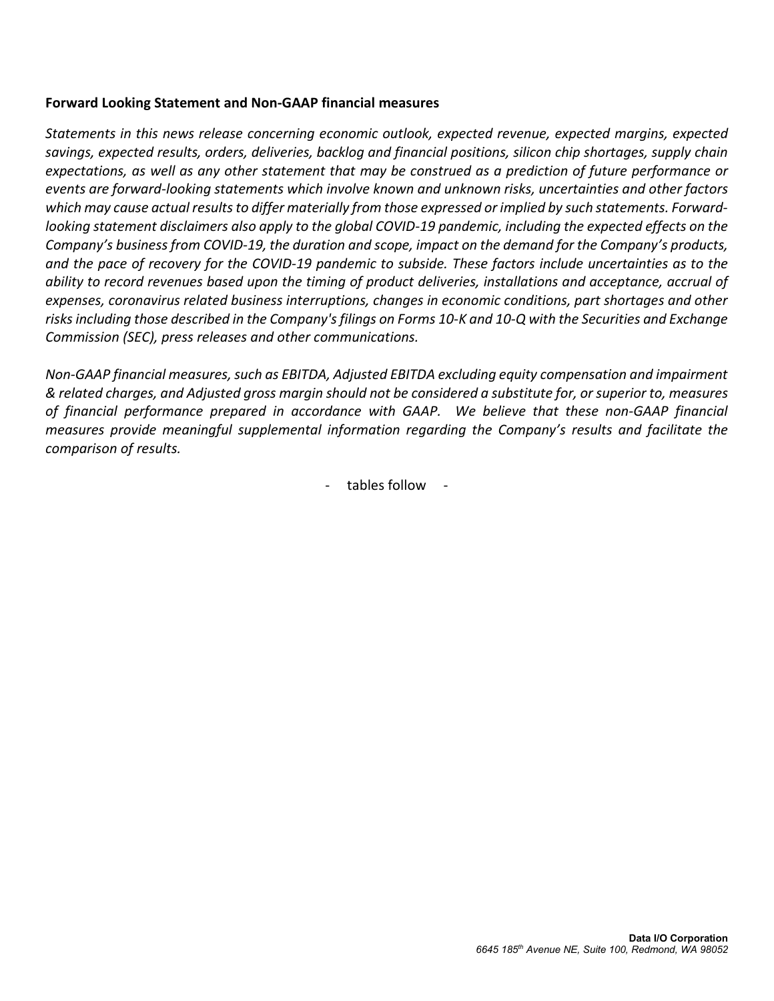#### **Forward Looking Statement and Non-GAAP financial measures**

*Statements in this news release concerning economic outlook, expected revenue, expected margins, expected savings, expected results, orders, deliveries, backlog and financial positions, silicon chip shortages, supply chain expectations, as well as any other statement that may be construed as a prediction of future performance or events are forward-looking statements which involve known and unknown risks, uncertainties and other factors which may cause actual results to differ materially from those expressed or implied by such statements. Forwardlooking statement disclaimers also apply to the global COVID-19 pandemic, including the expected effects on the Company's business from COVID-19, the duration and scope, impact on the demand for the Company's products, and the pace of recovery for the COVID-19 pandemic to subside. These factors include uncertainties as to the ability to record revenues based upon the timing of product deliveries, installations and acceptance, accrual of expenses, coronavirus related business interruptions, changes in economic conditions, part shortages and other risks including those described in the Company's filings on Forms 10-K and 10-Q with the Securities and Exchange Commission (SEC), press releases and other communications.*

*Non-GAAP financial measures, such as EBITDA, Adjusted EBITDA excluding equity compensation and impairment & related charges, and Adjusted gross margin should not be considered a substitute for, or superior to, measures of financial performance prepared in accordance with GAAP. We believe that these non-GAAP financial measures provide meaningful supplemental information regarding the Company's results and facilitate the comparison of results.*

- tables follow -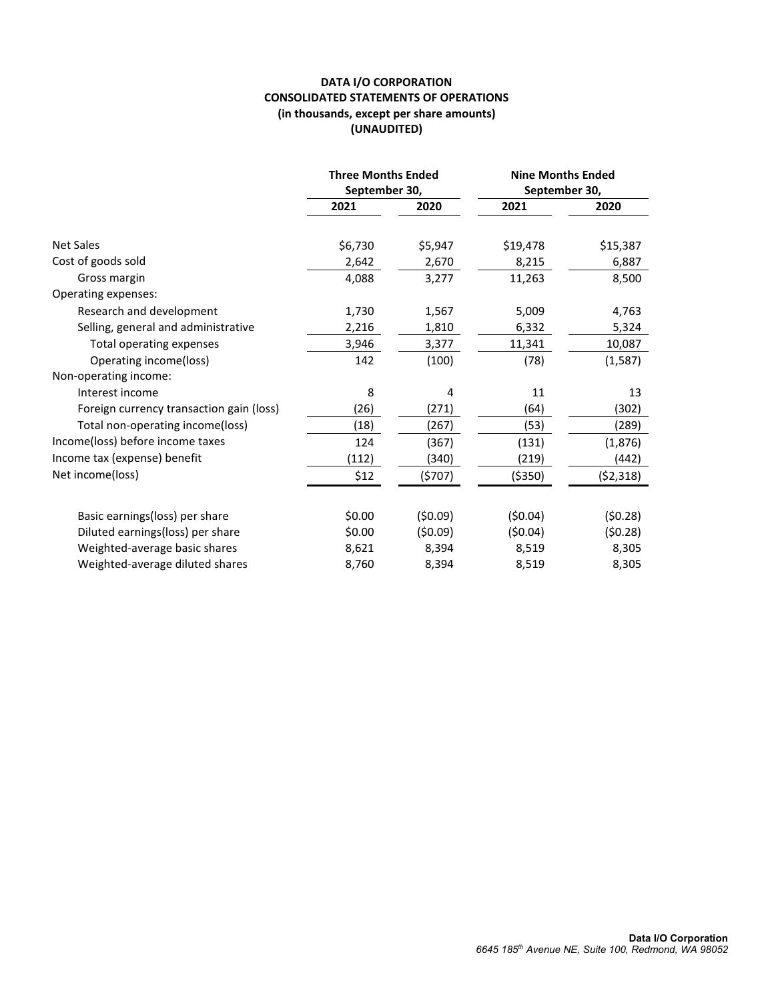#### **DATA I/O CORPORATION CONSOLIDATED STATEMENTS OF OPERATIONS (in thousands, except per share amounts) (UNAUDITED)**

|                                          | <b>Three Months Ended</b><br>September 30, |                  | <b>Nine Months Ended</b><br>September 30, |                   |
|------------------------------------------|--------------------------------------------|------------------|-------------------------------------------|-------------------|
|                                          | 2021                                       | 2020             | 2021                                      | 2020              |
| <b>Net Sales</b><br>Cost of goods sold   | \$6,730<br>2,642                           | \$5,947<br>2,670 | \$19,478<br>8,215                         | \$15,387<br>6,887 |
| Gross margin                             | 4,088                                      | 3,277            | 11,263                                    | 8,500             |
| Operating expenses:                      |                                            |                  |                                           |                   |
| Research and development                 | 1,730                                      | 1,567            | 5,009                                     | 4,763             |
| Selling, general and administrative      | 2,216                                      | 1,810            | 6,332                                     | 5,324             |
| Total operating expenses                 | 3,946                                      | 3,377            | 11,341                                    | 10,087            |
| Operating income(loss)                   | 142                                        | (100)            | (78)                                      | (1, 587)          |
| Non-operating income:                    |                                            |                  |                                           |                   |
| Interest income                          | 8                                          | 4                | 11                                        | 13                |
| Foreign currency transaction gain (loss) | (26)                                       | (271)            | (64)                                      | (302)             |
| Total non-operating income(loss)         | (18)                                       | (267)            | (53)                                      | (289)             |
| Income(loss) before income taxes         | 124                                        | (367)            | (131)                                     | (1, 876)          |
| Income tax (expense) benefit             | (112)                                      | (340)            | (219)                                     | (442)             |
| Net income(loss)                         | \$12                                       | (\$707)          | ( \$350)                                  | (\$2,318)         |
| Basic earnings(loss) per share           | \$0.00                                     | (50.09)          | (50.04)                                   | (50.28)           |
| Diluted earnings(loss) per share         | \$0.00                                     | (50.09)          | (50.04)                                   | (50.28)           |
| Weighted-average basic shares            | 8,621                                      | 8,394            | 8,519                                     | 8,305             |
| Weighted-average diluted shares          | 8,760                                      | 8,394            | 8,519                                     | 8,305             |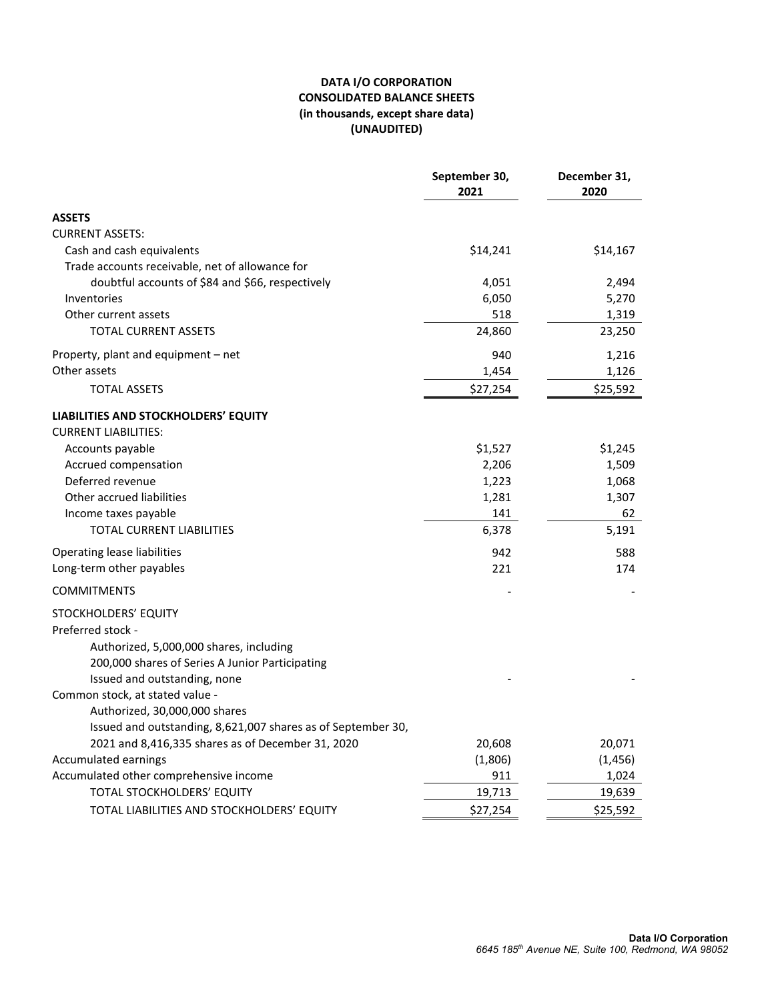#### **DATA I/O CORPORATION CONSOLIDATED BALANCE SHEETS (in thousands, except share data) (UNAUDITED)**

|                                                                             | September 30,<br>2021 | December 31,<br>2020 |
|-----------------------------------------------------------------------------|-----------------------|----------------------|
| <b>ASSETS</b>                                                               |                       |                      |
| <b>CURRENT ASSETS:</b>                                                      |                       |                      |
| Cash and cash equivalents                                                   | \$14,241              | \$14,167             |
| Trade accounts receivable, net of allowance for                             |                       |                      |
| doubtful accounts of \$84 and \$66, respectively                            | 4,051                 | 2,494                |
| Inventories                                                                 | 6,050                 | 5,270                |
| Other current assets                                                        | 518                   | 1,319                |
| <b>TOTAL CURRENT ASSETS</b>                                                 | 24,860                | 23,250               |
| Property, plant and equipment - net                                         | 940                   | 1,216                |
| Other assets                                                                | 1,454                 | 1,126                |
| <b>TOTAL ASSETS</b>                                                         | \$27,254              | \$25,592             |
| LIABILITIES AND STOCKHOLDERS' EQUITY<br><b>CURRENT LIABILITIES:</b>         |                       |                      |
| Accounts payable                                                            | \$1,527               | \$1,245              |
| Accrued compensation                                                        | 2,206                 | 1,509                |
| Deferred revenue                                                            | 1,223                 | 1,068                |
| Other accrued liabilities                                                   | 1,281                 | 1,307                |
| Income taxes payable                                                        | 141                   | 62                   |
| <b>TOTAL CURRENT LIABILITIES</b>                                            | 6,378                 | 5,191                |
| <b>Operating lease liabilities</b>                                          | 942                   | 588                  |
| Long-term other payables                                                    | 221                   | 174                  |
| <b>COMMITMENTS</b>                                                          |                       |                      |
| STOCKHOLDERS' EQUITY                                                        |                       |                      |
| Preferred stock -                                                           |                       |                      |
| Authorized, 5,000,000 shares, including                                     |                       |                      |
| 200,000 shares of Series A Junior Participating                             |                       |                      |
| Issued and outstanding, none                                                |                       |                      |
| Common stock, at stated value -                                             |                       |                      |
| Authorized, 30,000,000 shares                                               |                       |                      |
| Issued and outstanding, 8,621,007 shares as of September 30,                |                       |                      |
| 2021 and 8,416,335 shares as of December 31, 2020                           | 20,608                | 20,071               |
| Accumulated earnings                                                        | (1,806)               | (1, 456)             |
| Accumulated other comprehensive income<br><b>TOTAL STOCKHOLDERS' EQUITY</b> | 911<br>19,713         | 1,024                |
|                                                                             |                       | 19,639               |
| TOTAL LIABILITIES AND STOCKHOLDERS' EQUITY                                  | \$27,254              | \$25,592             |